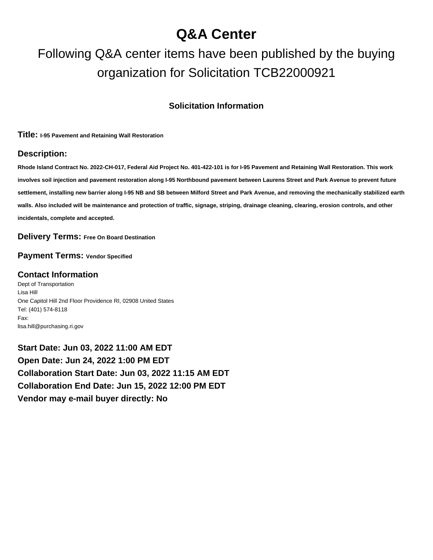## **Q&A Center**

# Following Q&A center items have been published by the buying organization for Solicitation TCB22000921

#### **Solicitation Information**

**Title: I-95 Pavement and Retaining Wall Restoration**

#### **Description:**

**Rhode Island Contract No. 2022-CH-017, Federal Aid Project No. 401-422-101 is for I-95 Pavement and Retaining Wall Restoration. This work involves soil injection and pavement restoration along I-95 Northbound pavement between Laurens Street and Park Avenue to prevent future settlement, installing new barrier along I-95 NB and SB between Milford Street and Park Avenue, and removing the mechanically stabilized earth walls. Also included will be maintenance and protection of traffic, signage, striping, drainage cleaning, clearing, erosion controls, and other incidentals, complete and accepted.**

**Delivery Terms: Free On Board Destination**

**Payment Terms: Vendor Specified**

#### **Contact Information**

Dept of Transportation Lisa Hill One Capitol Hill 2nd Floor Providence RI, 02908 United States Tel: (401) 574-8118 Fax: lisa.hill@purchasing.ri.gov

**Start Date: Jun 03, 2022 11:00 AM EDT Open Date: Jun 24, 2022 1:00 PM EDT Collaboration Start Date: Jun 03, 2022 11:15 AM EDT Collaboration End Date: Jun 15, 2022 12:00 PM EDT Vendor may e-mail buyer directly: No**